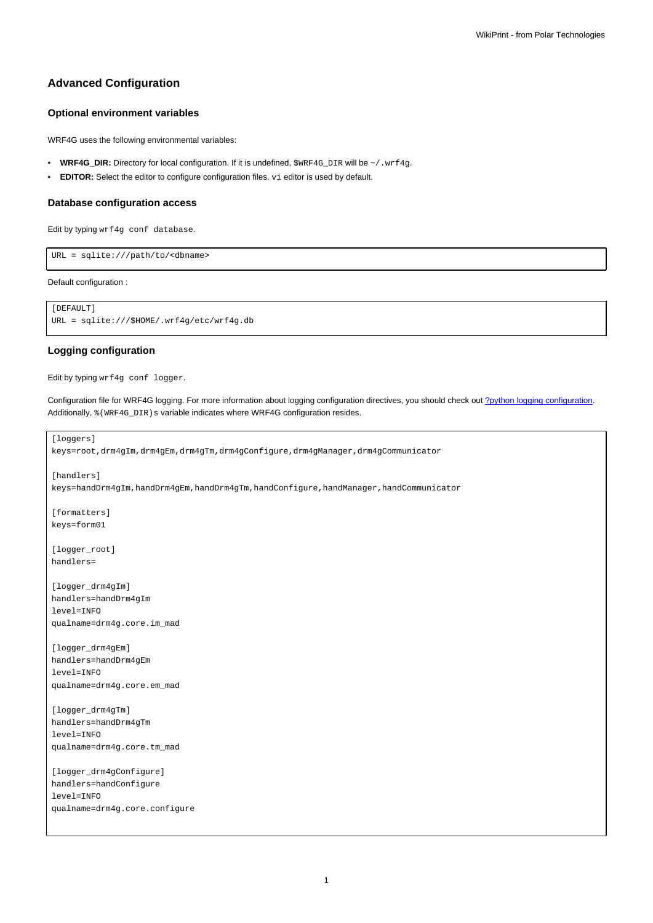# **Advanced Configuration**

## **Optional environment variables**

WRF4G uses the following environmental variables:

- WRF4G\_DIR: Directory for local configuration. If it is undefined, \$WRF4G\_DIR will be ~/.wrf4g.
- **EDITOR:** Select the editor to configure configuration files. vi editor is used by default.

### **Database configuration access**

Edit by typing wrf4g conf database.

URL = sqlite:///path/to/<dbname>

Default configuration :

```
[DEFAULT]
URL = sqlite:///$HOME/.wrf4g/etc/wrf4g.db
```
## **Logging configuration**

Edit by typing wrf4g conf logger.

Configuration file for WRF4G logging. For more information about logging configuration directives, you should check out [?python logging configuration](http://docs.python.org/2/library/logging.config.html). Additionally,  $%$  (WRF4G\_DIR)s variable indicates where WRF4G configuration resides.

```
[loggers]
keys=root,drm4gIm,drm4gEm,drm4gTm,drm4gConfigure,drm4gManager,drm4gCommunicator
[handlers]
keys=handDrm4gIm,handDrm4gEm,handDrm4gTm,handConfigure,handManager,handCommunicator
[formatters]
keys=form01
[logger_root]
handlers=
[logger_drm4gIm]
handlers=handDrm4gIm
level=INFO
qualname=drm4g.core.im_mad
[logger_drm4gEm]
handlers=handDrm4gEm
level=INFO
qualname=drm4g.core.em_mad
[logger_drm4gTm]
handlers=handDrm4gTm
level=INFO
qualname=drm4g.core.tm_mad
[logger_drm4gConfigure]
handlers=handConfigure
level=INFO
qualname=drm4g.core.configure
```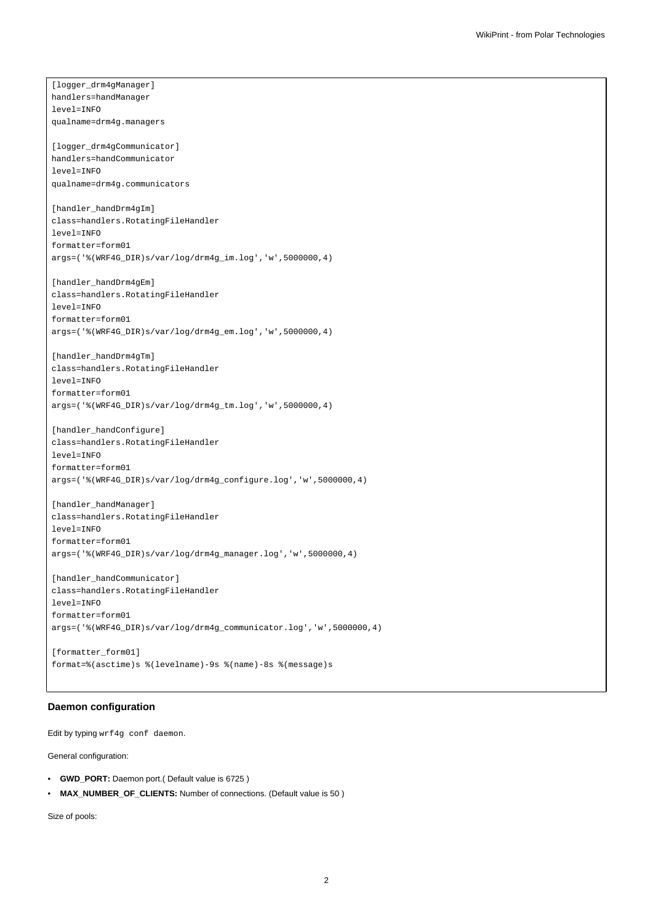[logger\_drm4gManager] handlers=handManager level=INFO qualname=drm4g.managers [logger\_drm4gCommunicator] handlers=handCommunicator level=INFO qualname=drm4g.communicators [handler\_handDrm4gIm] class=handlers.RotatingFileHandler level=INFO formatter=form01 args=('%(WRF4G\_DIR)s/var/log/drm4g\_im.log','w',5000000,4) [handler\_handDrm4gEm] class=handlers.RotatingFileHandler level=INFO formatter=form01 args=('%(WRF4G\_DIR)s/var/log/drm4g\_em.log','w',5000000,4) [handler\_handDrm4gTm] class=handlers.RotatingFileHandler level=INFO formatter=form01 args=('%(WRF4G\_DIR)s/var/log/drm4g\_tm.log','w',5000000,4) [handler\_handConfigure] class=handlers.RotatingFileHandler level=INFO formatter=form01 args=('%(WRF4G\_DIR)s/var/log/drm4g\_configure.log','w',5000000,4) [handler\_handManager] class=handlers.RotatingFileHandler level=INFO formatter=form01 args=('%(WRF4G\_DIR)s/var/log/drm4g\_manager.log','w',5000000,4) [handler\_handCommunicator] class=handlers.RotatingFileHandler level=INFO formatter=form01 args=('%(WRF4G\_DIR)s/var/log/drm4g\_communicator.log','w',5000000,4)

```
[formatter_form01]
format=%(asctime)s %(levelname)-9s %(name)-8s %(message)s
```
## **Daemon configuration**

Edit by typing wrf4g conf daemon.

General configuration:

- **GWD\_PORT:** Daemon port.( Default value is 6725 )
- **MAX\_NUMBER\_OF\_CLIENTS:** Number of connections. (Default value is 50 )

Size of pools: